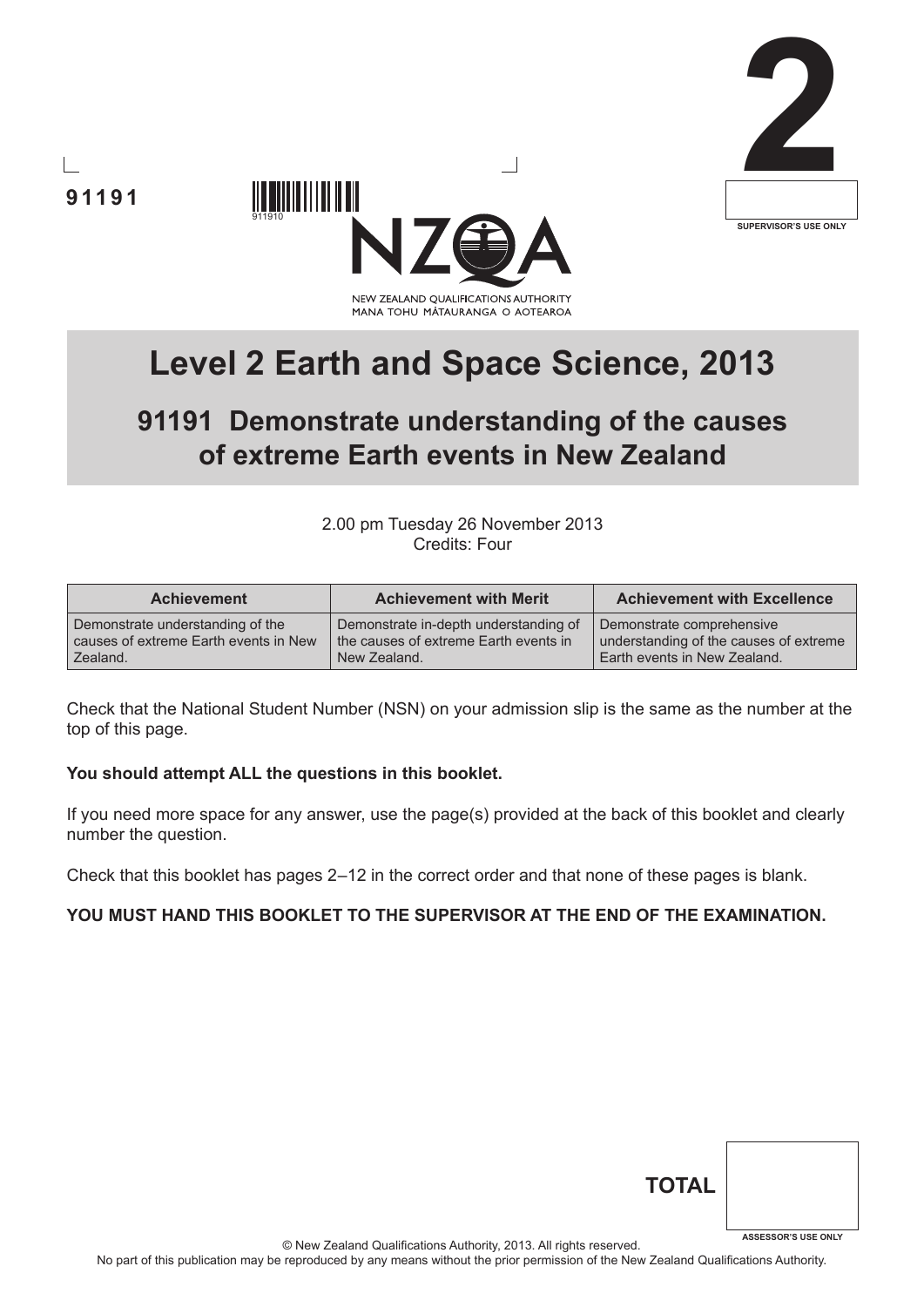





# **91191 Demonstrate understanding of the causes of extreme Earth events in New Zealand**

2.00 pm Tuesday 26 November 2013 Credits: Four

| <b>Achievement</b>                    | <b>Achievement with Merit</b>         | <b>Achievement with Excellence</b>     |
|---------------------------------------|---------------------------------------|----------------------------------------|
| Demonstrate understanding of the      | Demonstrate in-depth understanding of | Demonstrate comprehensive              |
| causes of extreme Earth events in New | the causes of extreme Earth events in | understanding of the causes of extreme |
| Zealand.                              | New Zealand.                          | Earth events in New Zealand.           |

Check that the National Student Number (NSN) on your admission slip is the same as the number at the top of this page.

#### **You should attempt ALL the questions in this booklet.**

If you need more space for any answer, use the page(s) provided at the back of this booklet and clearly number the question.

Check that this booklet has pages 2–12 in the correct order and that none of these pages is blank.

#### **YOU MUST HAND THIS BOOKLET TO THE SUPERVISOR AT THE END OF THE EXAMINATION.**

| <b>TOTAL</b> |                            |  |
|--------------|----------------------------|--|
|              | <b>ASSESSOR'S USE ONLY</b> |  |

© New Zealand Qualifications Authority, 2013. All rights reserved.

No part of this publication may be reproduced by any means without the prior permission of the New Zealand Qualifications Authority.

**91191**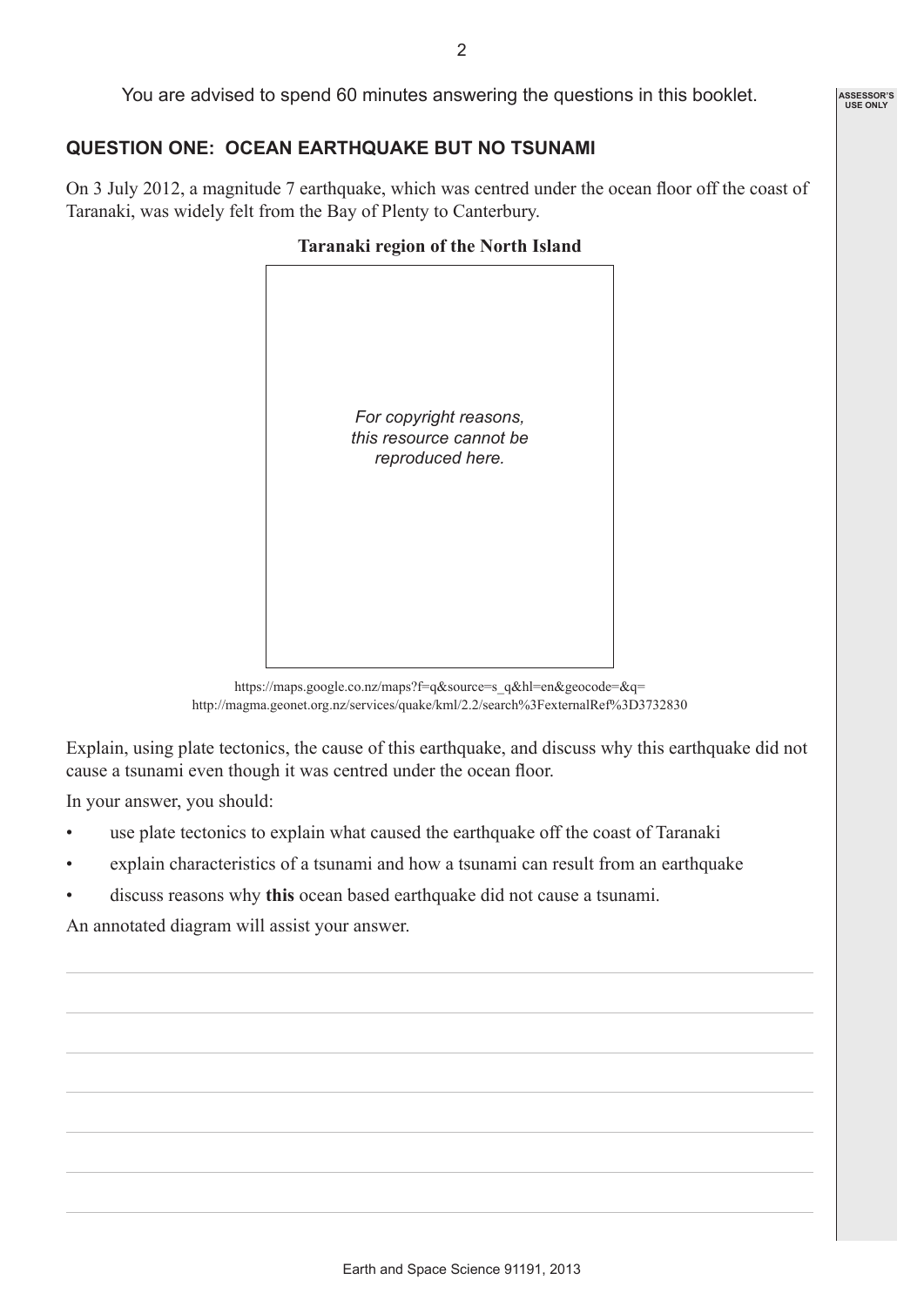You are advised to spend 60 minutes answering the questions in this booklet.

## **QUESTION ONE: OCEAN EARTHQUAKE BUT NO TSUNAMI**

On 3 July 2012, a magnitude 7 earthquake, which was centred under the ocean floor off the coast of Taranaki, was widely felt from the Bay of Plenty to Canterbury.

### **Taranaki region of the North Island**



https://maps.google.co.nz/maps?f=q&source=s\_q&hl=en&geocode=&q= http://magma.geonet.org.nz/services/quake/kml/2.2/search%3FexternalRef%3D3732830

Explain, using plate tectonics, the cause of this earthquake, and discuss why this earthquake did not cause a tsunami even though it was centred under the ocean floor.

In your answer, you should:

- use plate tectonics to explain what caused the earthquake off the coast of Taranaki
- explain characteristics of a tsunami and how a tsunami can result from an earthquake
- discuss reasons why **this** ocean based earthquake did not cause a tsunami.

An annotated diagram will assist your answer.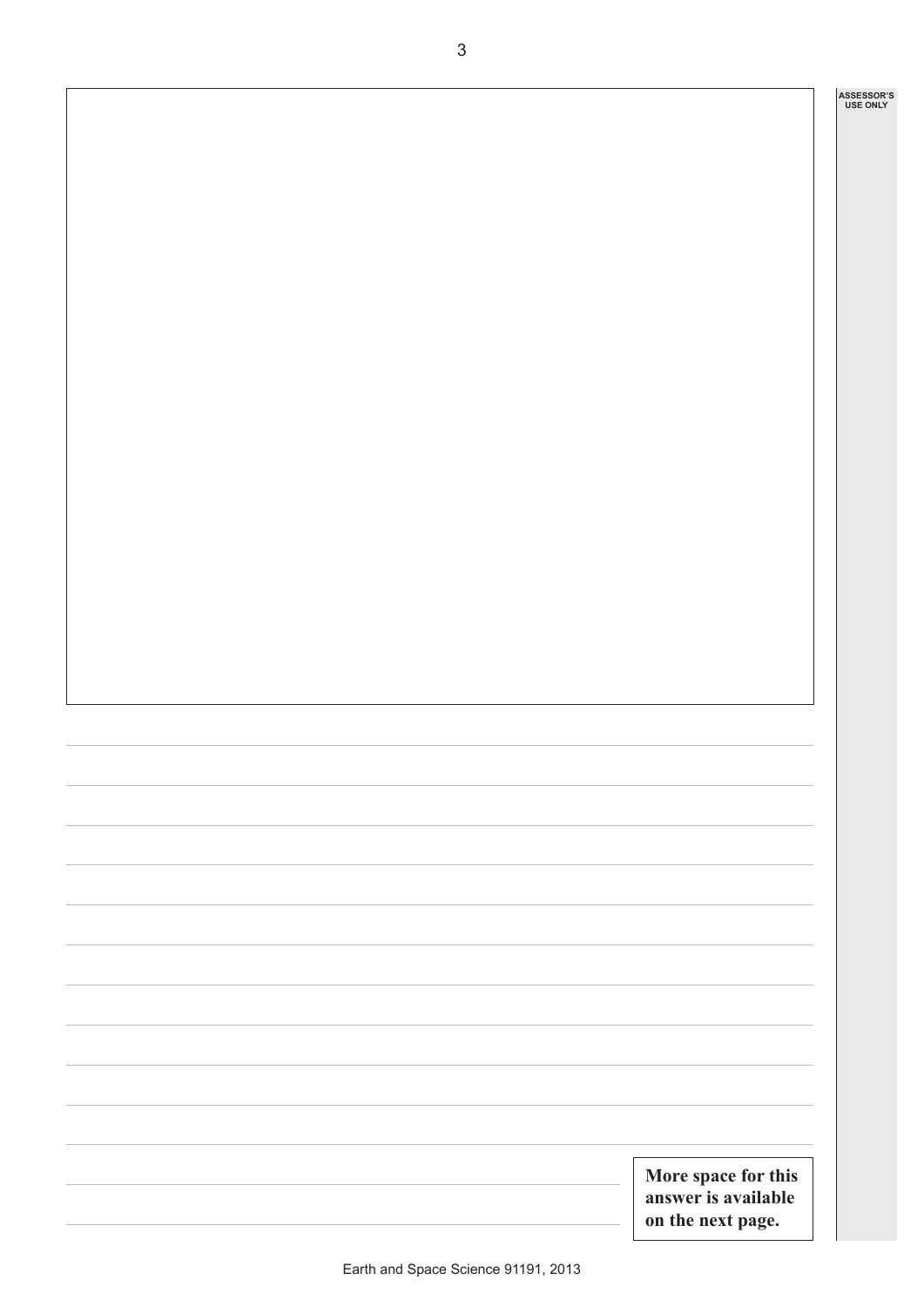| More space for this<br>answer is available<br>on the next page. |
|-----------------------------------------------------------------|
|                                                                 |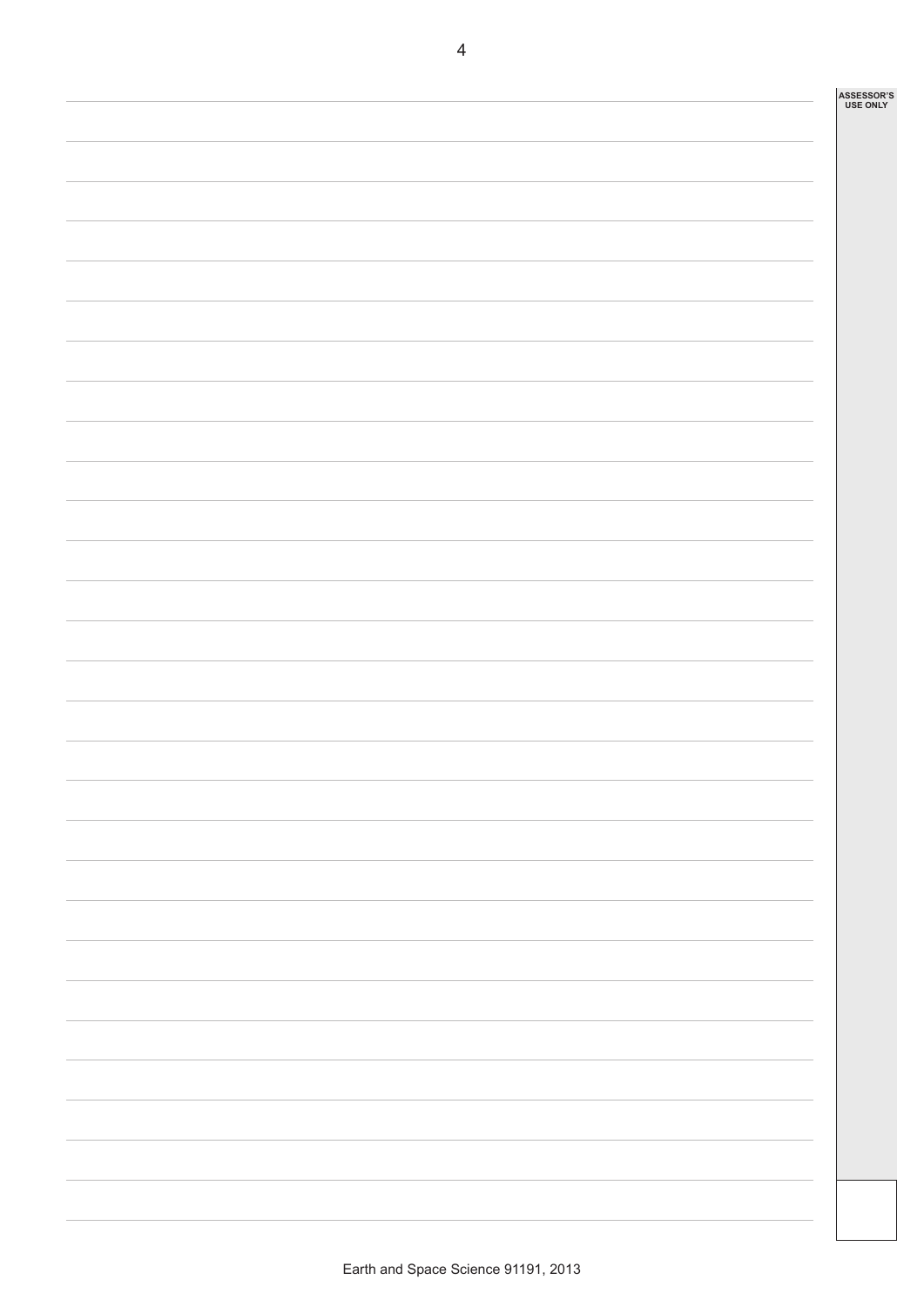| ASSESSOR'S<br>USE ONLY |
|------------------------|
|                        |
|                        |
|                        |
|                        |
|                        |
|                        |
|                        |
|                        |
|                        |
|                        |
|                        |
|                        |
|                        |
|                        |
|                        |
|                        |
|                        |
|                        |
|                        |
|                        |
|                        |
|                        |
|                        |
|                        |
|                        |
|                        |
|                        |
|                        |
|                        |
|                        |
|                        |
|                        |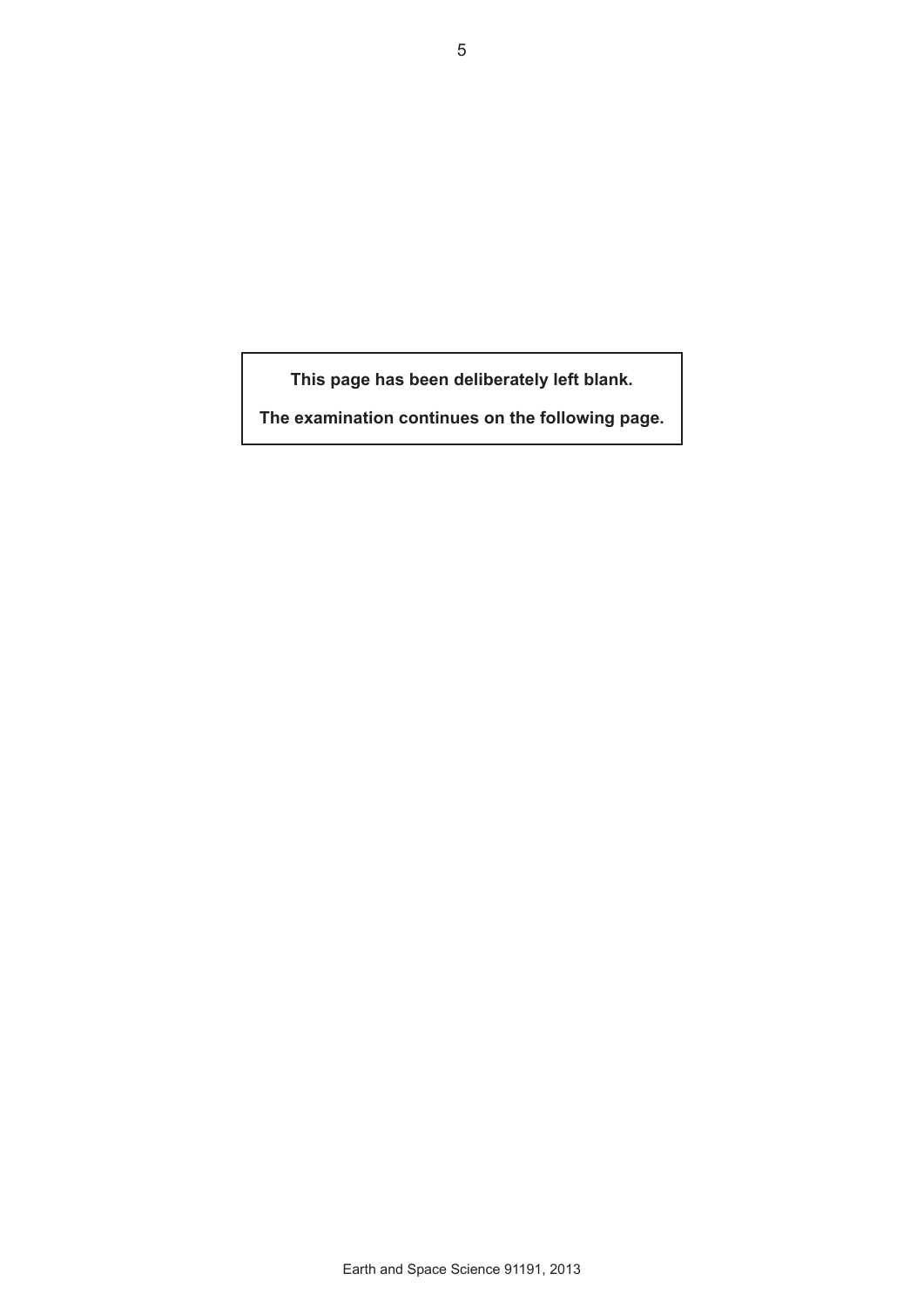**This page has been deliberately left blank.**

**The examination continues on the following page.**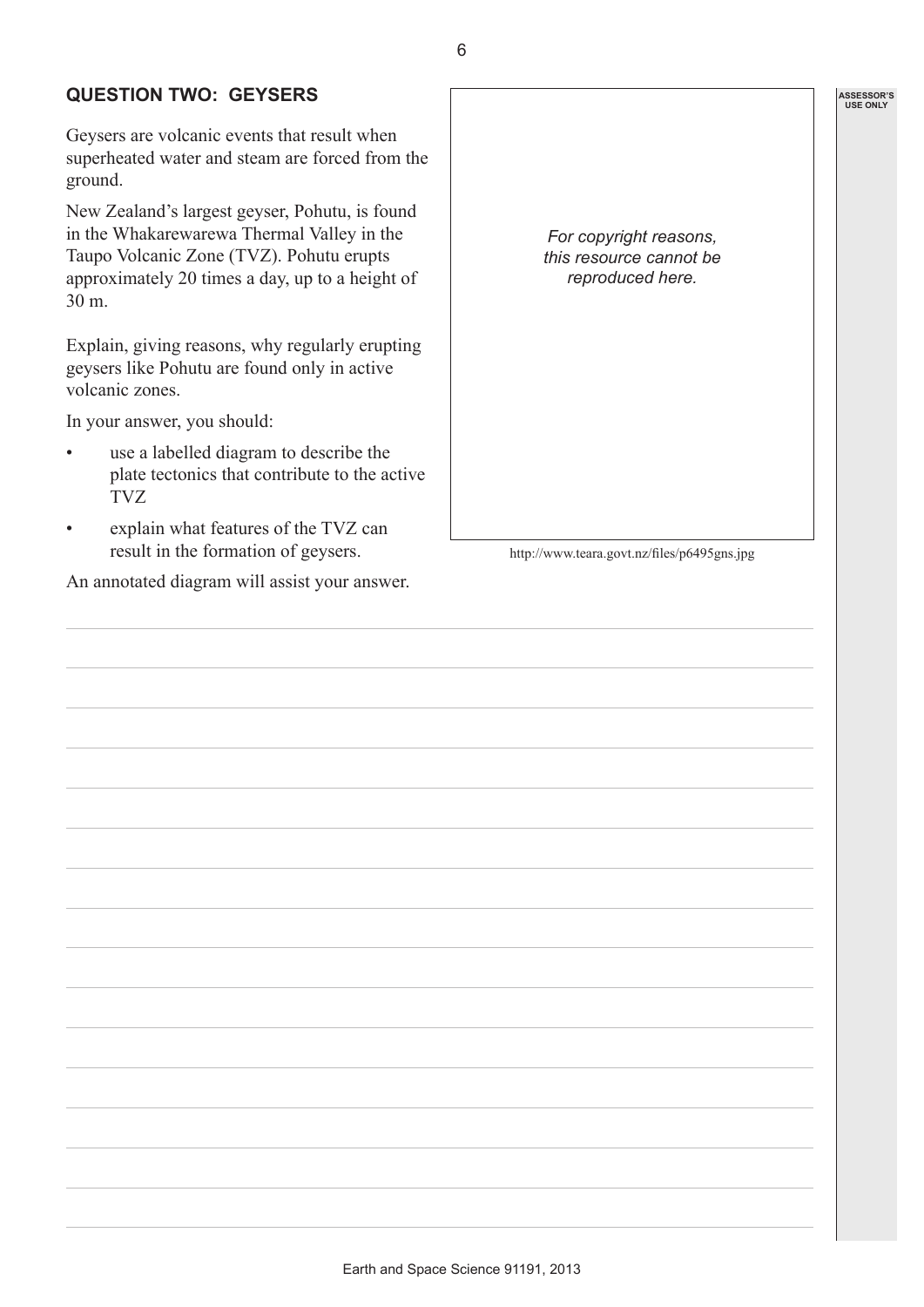## **QUESTION TWO: GEYSERS**

Geysers are volcanic events that result when superheated water and steam are forced from the ground.

New Zealand's largest geyser, Pohutu, is found in the Whakarewarewa Thermal Valley in the Taupo Volcanic Zone (TVZ). Pohutu erupts approximately 20 times a day, up to a height of 30 m.

Explain, giving reasons, why regularly erupting geysers like Pohutu are found only in active volcanic zones.

In your answer, you should:

- use a labelled diagram to describe the plate tectonics that contribute to the active TVZ
- explain what features of the TVZ can result in the formation of geysers.

An annotated diagram will assist your answer.

*For copyright reasons, this resource cannot be reproduced here.*

**ASSESSOR'S USE ONLY**

http://www.teara.govt.nz/files/p6495gns.jpg

6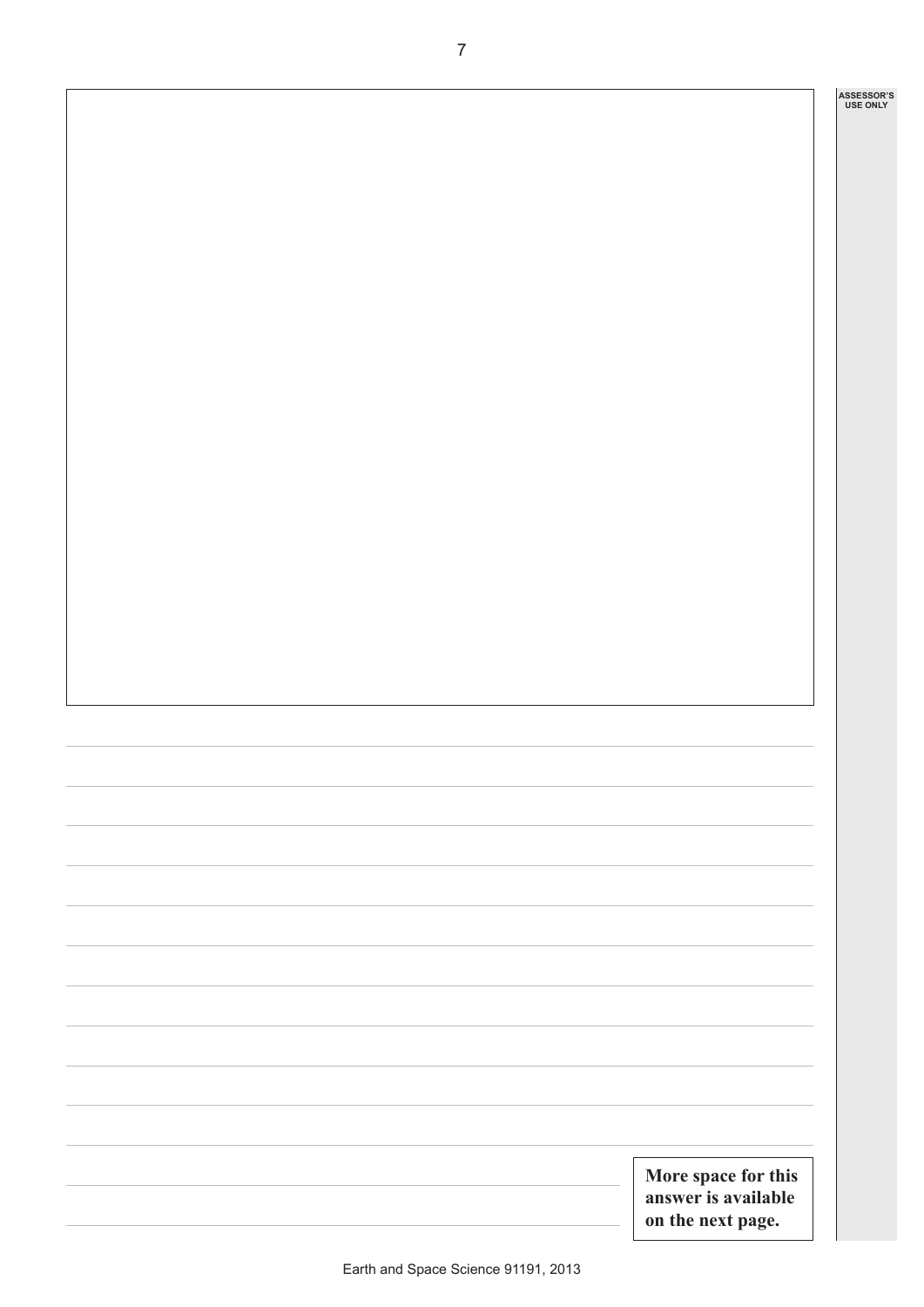| More space for this<br>answer is available<br>on the next page. |
|-----------------------------------------------------------------|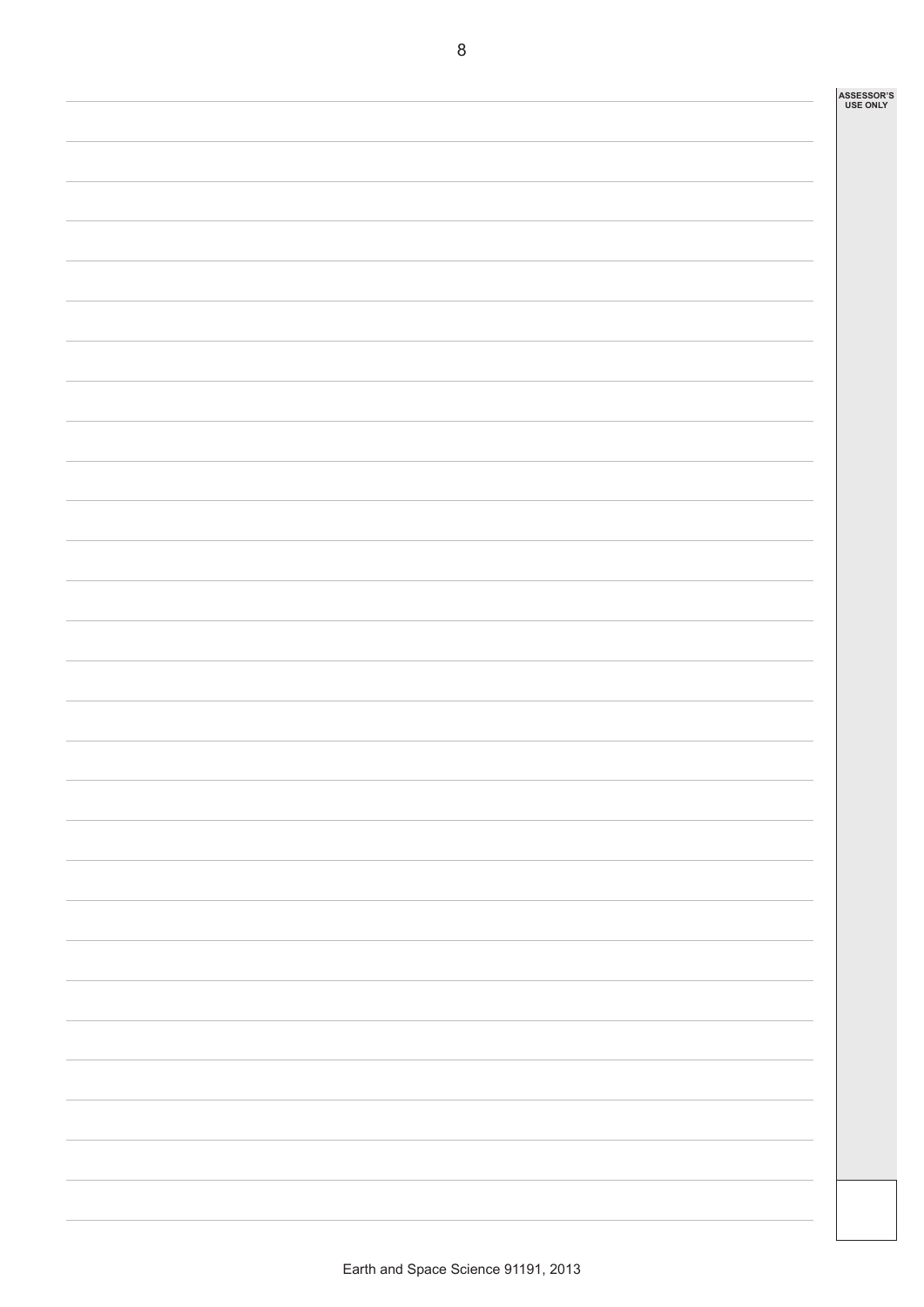| ASSESSOR'S<br>USE ONLY |
|------------------------|
|                        |
|                        |
|                        |
|                        |
|                        |
|                        |
|                        |
|                        |
|                        |
|                        |
|                        |
|                        |
|                        |
|                        |
|                        |
|                        |
|                        |
|                        |
|                        |
|                        |
|                        |
|                        |
|                        |
|                        |
|                        |
|                        |
|                        |
|                        |
|                        |
|                        |
|                        |
|                        |
|                        |
|                        |
|                        |
|                        |
|                        |
|                        |
|                        |
|                        |
|                        |
|                        |
|                        |
|                        |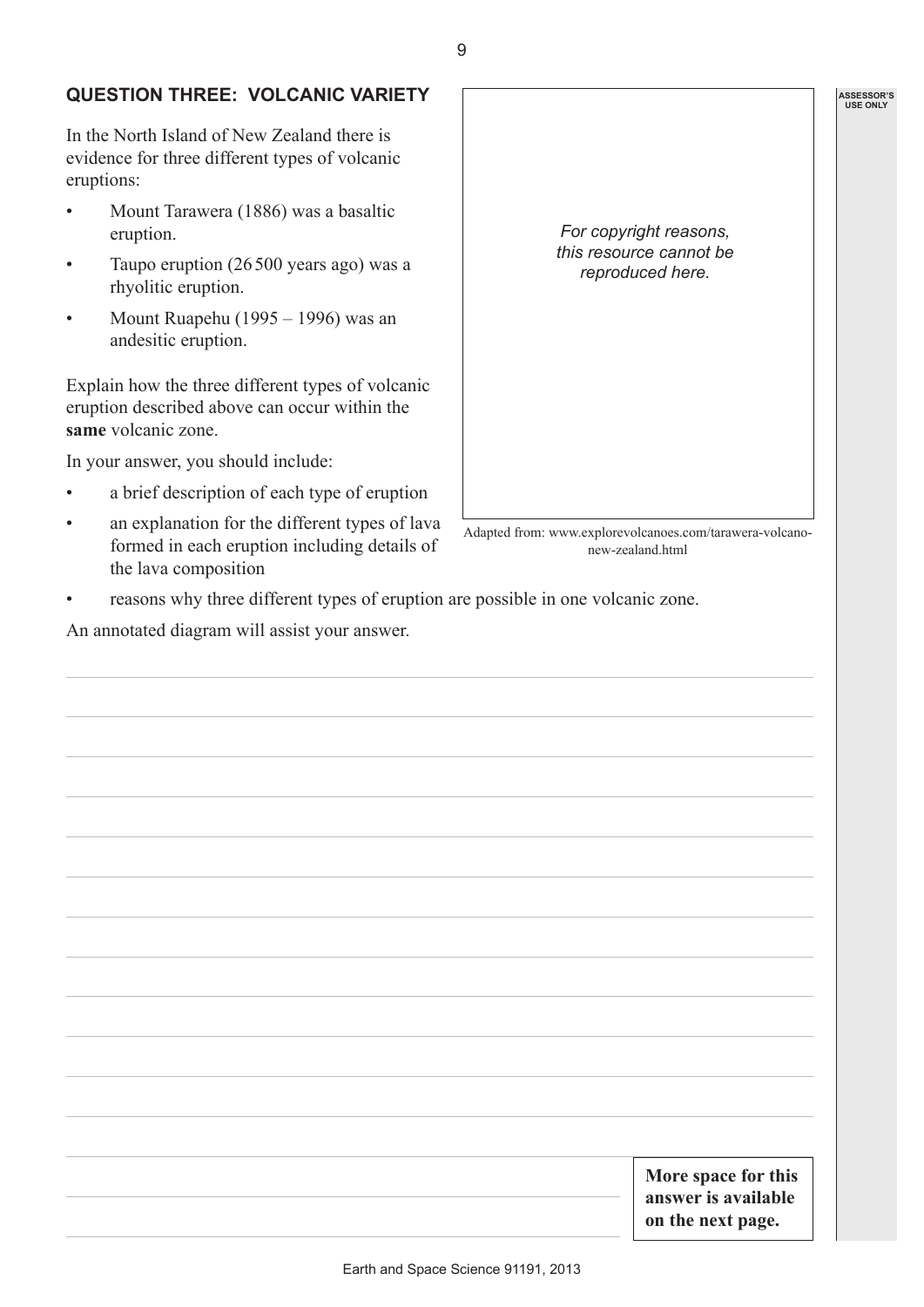## **QUESTION THREE: VOLCANIC VARIETY**

In the North Island of New Zealand there is evidence for three different types of volcanic eruptions:

- Mount Tarawera (1886) was a basaltic eruption.
- Taupo eruption (26500 years ago) was a rhyolitic eruption.
- Mount Ruapehu (1995 1996) was an andesitic eruption.

Explain how the three different types of volcanic eruption described above can occur within the **same** volcanic zone.

In your answer, you should include:

- a brief description of each type of eruption
- an explanation for the different types of lava formed in each eruption including details of the lava composition

*For copyright reasons, this resource cannot be reproduced here.*

**ASSESSOR'S USE ONLY**

Adapted from: www.explorevolcanoes.com/tarawera-volcanonew-zealand.html

reasons why three different types of eruption are possible in one volcanic zone.

An annotated diagram will assist your answer.

| More space for this |
|---------------------|
| answer is available |
| on the next page.   |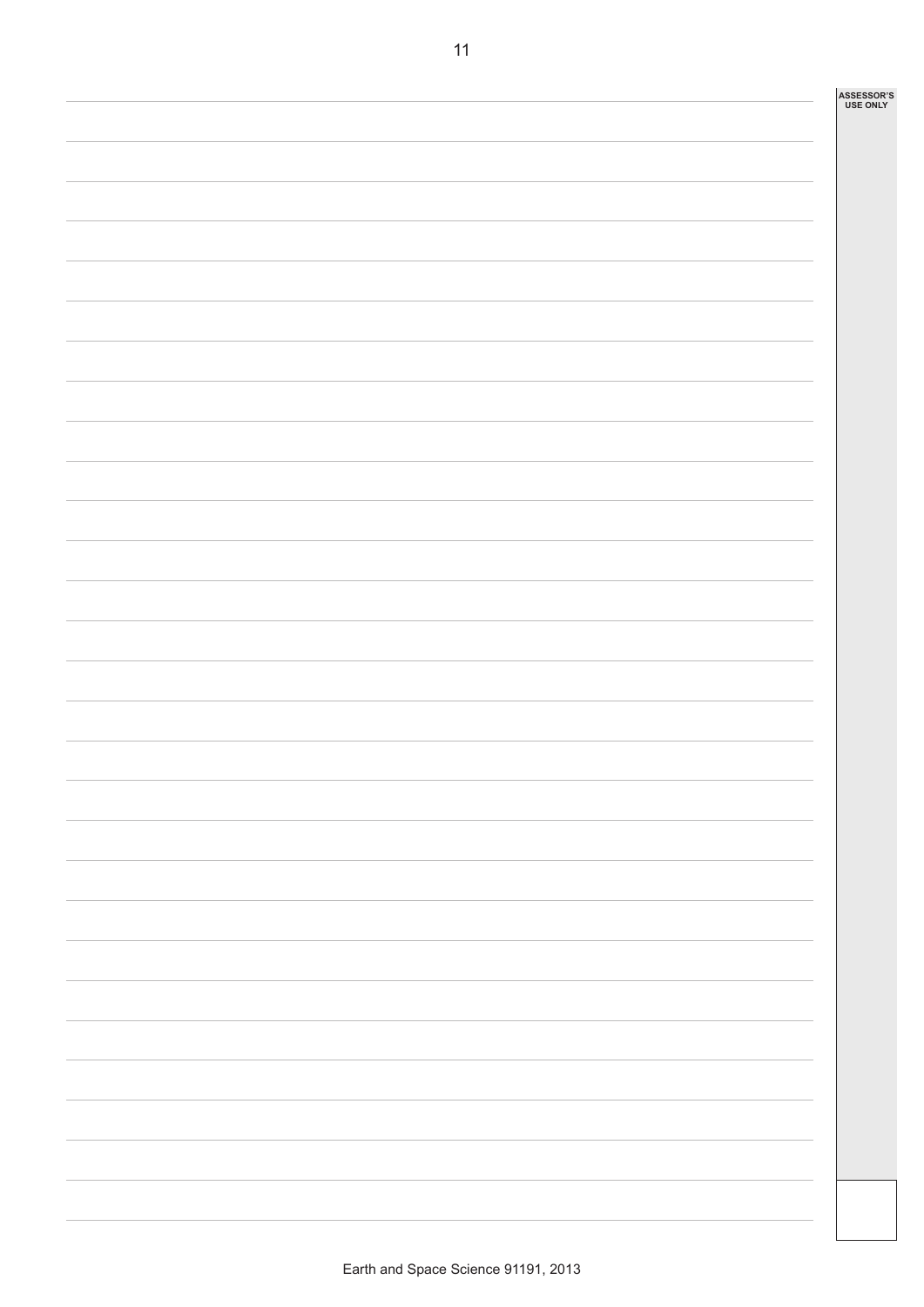| ASSESSOR'S<br>USE ONLY |
|------------------------|
|                        |
|                        |
|                        |
|                        |
|                        |
|                        |
|                        |
|                        |
|                        |
|                        |
|                        |
|                        |
|                        |
|                        |
|                        |
|                        |
|                        |
|                        |
|                        |
|                        |
|                        |
|                        |
|                        |
|                        |
|                        |
|                        |
|                        |
|                        |
|                        |
|                        |